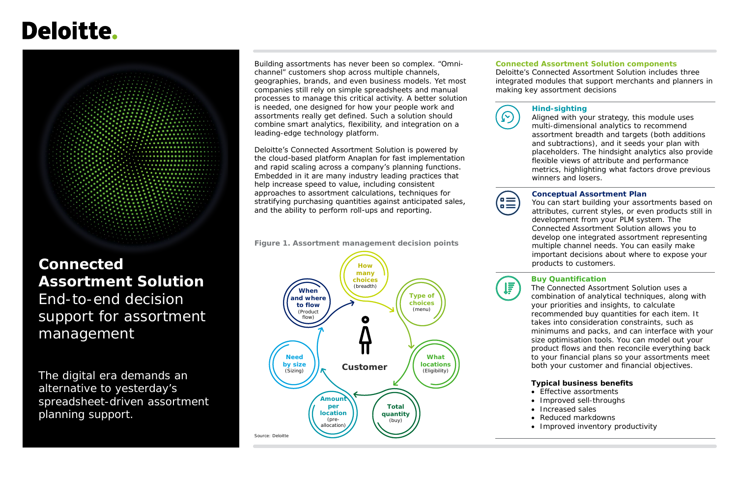# Deloitte.

# **Connected Assortment Solution**

End-to-end decision support for assortment management

The digital era demands an alternative to yesterday's spreadsheet-driven assortment planning support.

#### **Connected Assortment Solution components**

Deloitte's Connected Assortment Solution includes three integrated modules that support merchants and planners in making key assortment decisions





Building assortments has never been so complex. "Omnichannel" customers shop across multiple channels, geographies, brands, and even business models. Yet most companies still rely on simple spreadsheets and manual processes to manage this critical activity. A better solution is needed, one designed for how your people work and assortments really get defined. Such a solution should combine smart analytics, flexibility, and integration on a leading-edge technology platform.

Deloitte's Connected Assortment Solution is powered by the cloud-based platform Anaplan for fast implementation and rapid scaling across a company's planning functions. Embedded in it are many industry leading practices that help increase speed to value, including consistent approaches to assortment calculations, techniques for stratifying purchasing quantities against anticipated sales, and the ability to perform roll-ups and reporting.



- Effective assortments
- Improved sell-throughs
- Increased sales
- Reduced markdowns
- Improved inventory productivity



#### **Hind-sighting**

Aligned with your strategy, this module uses multi-dimensional analytics to recommend assortment breadth and targets (both additions and subtractions), and it seeds your plan with placeholders. The hindsight analytics also provide flexible views of attribute and performance metrics, highlighting what factors drove previous winners and losers.

### **Conceptual Assortment Plan**

You can start building your assortments based on attributes, current styles, or even products still in development from your PLM system. The Connected Assortment Solution allows you to develop one integrated assortment representing multiple channel needs. You can easily make important decisions about where to expose your products to customers.

#### **Buy Quantification**

The Connected Assortment Solution uses a combination of analytical techniques, along with your priorities and insights, to calculate recommended buy quantities for each item. It takes into consideration constraints, such as minimums and packs, and can interface with your size optimisation tools. You can model out your product flows and then reconcile everything back to your financial plans so your assortments meet both your customer and financial objectives.

#### **Typical business benefits**